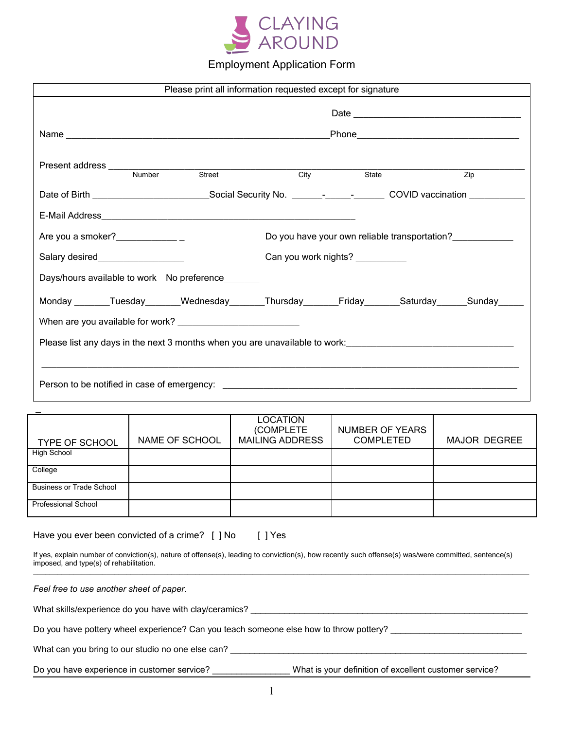

# Employment Application Form

| Please print all information requested except for signature                                                                                                                                           |                                            |                                                                                                                                                |                                               |                     |
|-------------------------------------------------------------------------------------------------------------------------------------------------------------------------------------------------------|--------------------------------------------|------------------------------------------------------------------------------------------------------------------------------------------------|-----------------------------------------------|---------------------|
|                                                                                                                                                                                                       |                                            |                                                                                                                                                |                                               |                     |
|                                                                                                                                                                                                       |                                            |                                                                                                                                                |                                               |                     |
|                                                                                                                                                                                                       | <b>Street</b>                              |                                                                                                                                                |                                               |                     |
|                                                                                                                                                                                                       |                                            | City<br>Date of Birth ________________________________Social Security No. _______-__________________________COVID vaccination ________________ | State                                         | $\overline{Zip}$    |
|                                                                                                                                                                                                       |                                            |                                                                                                                                                |                                               |                     |
|                                                                                                                                                                                                       |                                            |                                                                                                                                                | Do you have your own reliable transportation? |                     |
| Salary desired___________________<br>Can you work nights? ___________                                                                                                                                 |                                            |                                                                                                                                                |                                               |                     |
|                                                                                                                                                                                                       | Days/hours available to work No preference |                                                                                                                                                |                                               |                     |
|                                                                                                                                                                                                       |                                            | Monday _______Tuesday_______Wednesday_______Thursday________Friday_______Saturday______Sunday______                                            |                                               |                     |
|                                                                                                                                                                                                       |                                            |                                                                                                                                                |                                               |                     |
| Please list any days in the next 3 months when you are unavailable to work:<br><u>Die and the second of the second of the second of the second of the second of the second of the second of the s</u> |                                            |                                                                                                                                                |                                               |                     |
| <u> 1989 - Johann Stoff, amerikan bestein de stad in de stad in de stad in de stad in de stad in de stad in de st</u>                                                                                 |                                            |                                                                                                                                                |                                               |                     |
|                                                                                                                                                                                                       |                                            |                                                                                                                                                |                                               |                     |
|                                                                                                                                                                                                       |                                            |                                                                                                                                                |                                               |                     |
| <b>TYPE OF SCHOOL</b>                                                                                                                                                                                 | NAME OF SCHOOL                             | <b>LOCATION</b><br>(COMPLETE<br><b>MAILING ADDRESS</b>                                                                                         | NUMBER OF YEARS<br><b>COMPLETED</b>           | <b>MAJOR DEGREE</b> |

| imposed, and type(s) of rehabilitation.                                                |                                                        |
|----------------------------------------------------------------------------------------|--------------------------------------------------------|
| Feel free to use another sheet of paper.                                               |                                                        |
| What skills/experience do you have with clay/ceramics?                                 |                                                        |
| Do you have pottery wheel experience? Can you teach someone else how to throw pottery? |                                                        |
| What can you bring to our studio no one else can?                                      |                                                        |
| Do you have experience in customer service?                                            | What is your definition of excellent customer service? |

If yes, explain number of conviction(s), nature of offense(s), leading to conviction(s), how recently such offense(s) was/were committed, sentence(s)

High School College

Business or Trade School

Have you ever been convicted of a crime? [ ] No [ ] Yes

Professional School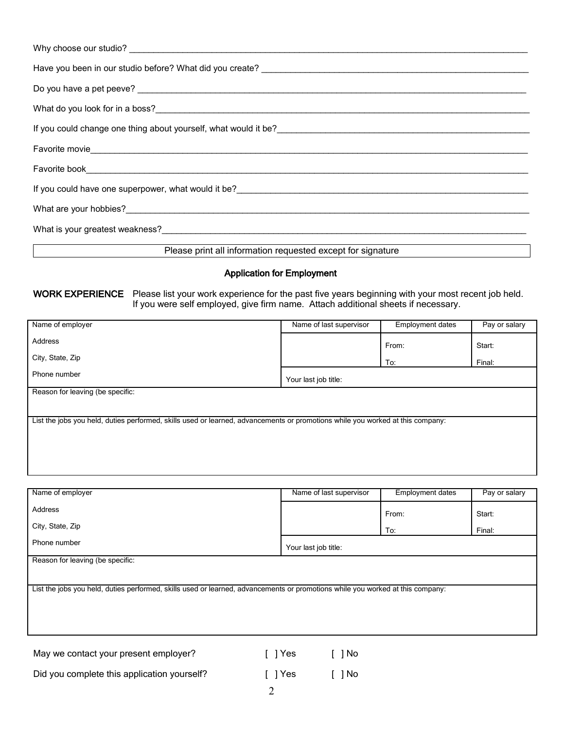| Why choose our studio? Notice that the contract of the contract of the contract of the contract of the contract of the contract of the contract of the contract of the contract of the contract of the contract of the contrac         |
|----------------------------------------------------------------------------------------------------------------------------------------------------------------------------------------------------------------------------------------|
|                                                                                                                                                                                                                                        |
|                                                                                                                                                                                                                                        |
|                                                                                                                                                                                                                                        |
|                                                                                                                                                                                                                                        |
|                                                                                                                                                                                                                                        |
|                                                                                                                                                                                                                                        |
| If you could have one superpower, what would it be?<br><u>Lettical contract and an analyzina contract and an analyzina control of the superior of the superior of the superior of the superior of the superior of the superior of </u> |
|                                                                                                                                                                                                                                        |
| What is your greatest weakness? The contract of the contract of the contract of the contract of the contract of the contract of the contract of the contract of the contract of the contract of the contract of the contract o         |
| Please print all information requested except for signature                                                                                                                                                                            |

### Application for Employment

#### WORK EXPERIENCE Please list your work experience for the past five years beginning with your most recent job held. If you were self employed, give firm name. Attach additional sheets if necessary.

| Name of employer                                                                                                               | Name of last supervisor | <b>Employment dates</b> | Pay or salary |
|--------------------------------------------------------------------------------------------------------------------------------|-------------------------|-------------------------|---------------|
| Address                                                                                                                        |                         | From:                   | Start:        |
| City, State, Zip                                                                                                               |                         | To:                     | Final:        |
| Phone number                                                                                                                   | Your last job title:    |                         |               |
| Reason for leaving (be specific:                                                                                               |                         |                         |               |
|                                                                                                                                |                         |                         |               |
| List the jobs you held, duties performed, skills used or learned, advancements or promotions while you worked at this company: |                         |                         |               |
|                                                                                                                                |                         |                         |               |
|                                                                                                                                |                         |                         |               |
|                                                                                                                                |                         |                         |               |

| Name of employer                                                                                                               | Name of last supervisor    | <b>Employment dates</b> | Pay or salary |  |
|--------------------------------------------------------------------------------------------------------------------------------|----------------------------|-------------------------|---------------|--|
| Address                                                                                                                        |                            | From:                   | Start:        |  |
| City, State, Zip                                                                                                               |                            | To:                     | Final:        |  |
| Phone number                                                                                                                   | Your last job title:       |                         |               |  |
| Reason for leaving (be specific:                                                                                               |                            |                         |               |  |
|                                                                                                                                |                            |                         |               |  |
| List the jobs you held, duties performed, skills used or learned, advancements or promotions while you worked at this company: |                            |                         |               |  |
|                                                                                                                                |                            |                         |               |  |
|                                                                                                                                |                            |                         |               |  |
|                                                                                                                                |                            |                         |               |  |
| May we contact your present employer?                                                                                          | $\lceil$   Yes<br>$[$ ] No |                         |               |  |
| Did you complete this application yourself?                                                                                    | ] No<br>  Yes              |                         |               |  |